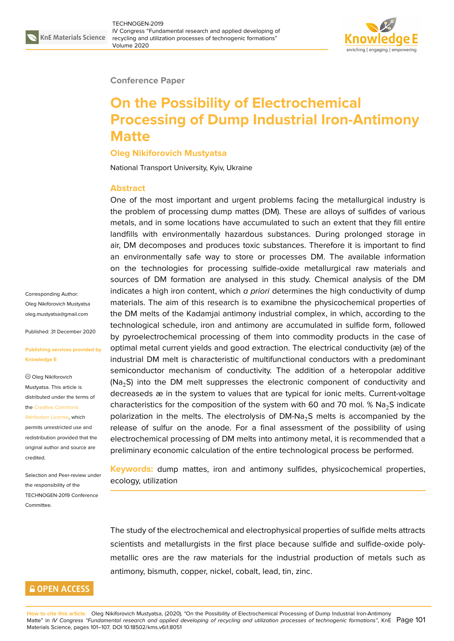

#### **Conference Paper**

# **On the Possibility of Electrochemical Processing of Dump Industrial Iron-Antimony Matte**

#### **Oleg Nikiforovich Mustyatsa**

National Transport University, Kyiv, Ukraine

#### **Abstract**

One of the most important and urgent problems facing the metallurgical industry is the problem of processing dump mattes (DM). These are alloys of sulfides of various metals, and in some locations have accumulated to such an extent that they fill entire landfills with environmentally hazardous substances. During prolonged storage in air, DM decomposes and produces toxic substances. Therefore it is important to find an environmentally safe way to store or processes DM. The available information on the technologies for processing sulfide-oxide metallurgical raw materials and sources of DM formation are analysed in this study. Chemical analysis of the DM indicates a high iron content, which *a priori* determines the high conductivity of dump materials. The aim of this research is to examibne the physicochemical properties of the DM melts of the Kadamjai antimony industrial complex, in which, according to the technological schedule, iron and antimony are accumulated in sulfide form, followed by pyroelectrochemical processing of them into commodity products in the case of optimal metal current yields and good extraction. The electrical conductivity (æ) of the industrial DM melt is characteristic of multifunctional conductors with a predominant semiconductor mechanism of conductivity. The addition of a heteropolar additive  $(Na<sub>2</sub>S)$  into the DM melt suppresses the electronic component of conductivity and decreaseds æ in the system to values that are typical for ionic melts. Current-voltage characteristics for the composition of the system with 60 and 70 mol.  $\%$  Na<sub>2</sub>S indicate polarization in the melts. The electrolysis of  $DM-Na<sub>2</sub>S$  melts is accompanied by the release of sulfur on the anode. For a final assessment of the possibility of using electrochemical processing of DM melts into antimony metal, it is recommended that a preliminary economic calculation of the entire technological process be performed.

**Keywords:** dump mattes, iron and antimony sulfides, physicochemical properties, ecology, utilization

The study of the electrochemical and electrophysical properties of sulfide melts attracts scientists and metallurgists in the first place because sulfide and sulfide-oxide polymetallic ores are the raw materials for the industrial production of metals such as antimony, bismuth, copper, nickel, cobalt, lead, tin, zinc.

Corresponding Author: Oleg Nikiforovich Mustyatsa oleg.mustyatsa@gmail.com

Published: 31 December 2020

#### **[Publishing services provid](mailto:oleg.mustyatsa@gmail.com)ed by Knowledge E**

Oleg Nikiforovich Mustyatsa. This article is distributed under the terms of the Creative Commons

Attribution License, which permits unrestricted use and redistribution provided that the orig[inal author and sou](https://creativecommons.org/licenses/by/4.0/)rce are [credited.](https://creativecommons.org/licenses/by/4.0/)

Selection and Peer-review under the responsibility of the TECHNOGEN-2019 Conference Committee.

### **GOPEN ACCESS**

**How to cite this article**: Oleg Nikiforovich Mustyatsa, (2020), "On the Possibility of Electrochemical Processing of Dump Industrial Iron-Antimony Matte" in *IV Congress "Fundamental research and applied developing of recycling and utilization processes of technogenic formations"*, KnE Page 101 Materials Science, pages 101–107. DOI 10.18502/kms.v6i1.8051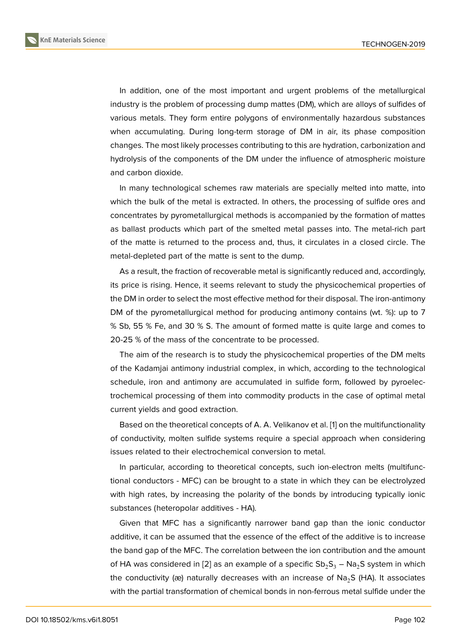In addition, one of the most important and urgent problems of the metallurgical industry is the problem of processing dump mattes (DM), which are alloys of sulfides of various metals. They form entire polygons of environmentally hazardous substances when accumulating. During long-term storage of DM in air, its phase composition changes. The most likely processes contributing to this are hydration, carbonization and hydrolysis of the components of the DM under the influence of atmospheric moisture and carbon dioxide.

In many technological schemes raw materials are specially melted into matte, into which the bulk of the metal is extracted. In others, the processing of sulfide ores and concentrates by pyrometallurgical methods is accompanied by the formation of mattes as ballast products which part of the smelted metal passes into. The metal-rich part of the matte is returned to the process and, thus, it circulates in a closed circle. The metal-depleted part of the matte is sent to the dump.

As a result, the fraction of recoverable metal is significantly reduced and, accordingly, its price is rising. Hence, it seems relevant to study the physicochemical properties of the DM in order to select the most effective method for their disposal. The iron-antimony DM of the pyrometallurgical method for producing antimony contains (wt. %): up to 7 % Sb, 55 % Fe, and 30 % S. The amount of formed matte is quite large and comes to 20-25 % of the mass of the concentrate to be processed.

The aim of the research is to study the physicochemical properties of the DM melts of the Kadamjai antimony industrial complex, in which, according to the technological schedule, iron and antimony are accumulated in sulfide form, followed by pyroelectrochemical processing of them into commodity products in the case of optimal metal current yields and good extraction.

Based on the theoretical concepts of A. A. Velikanov et al. [1] on the multifunctionality of conductivity, molten sulfide systems require a special approach when considering issues related to their electrochemical conversion to metal.

In particular, according to theoretical concepts, such ion-[e](#page-6-0)lectron melts (multifunctional conductors - MFC) can be brought to a state in which they can be electrolyzed with high rates, by increasing the polarity of the bonds by introducing typically ionic substances (heteropolar additives - HA).

Given that MFC has a significantly narrower band gap than the ionic conductor additive, it can be assumed that the essence of the effect of the additive is to increase the band gap of the MFC. The correlation between the ion contribution and the amount of HA was considered in [2] as an example of a specific  $Sb_2S_3 - Na_2S$  system in which the conductivity ( $x$ ) naturally decreases with an increase of Na<sub>2</sub>S (HA). It associates with the partial transformation of chemical bonds in non-ferrous metal sulfide under the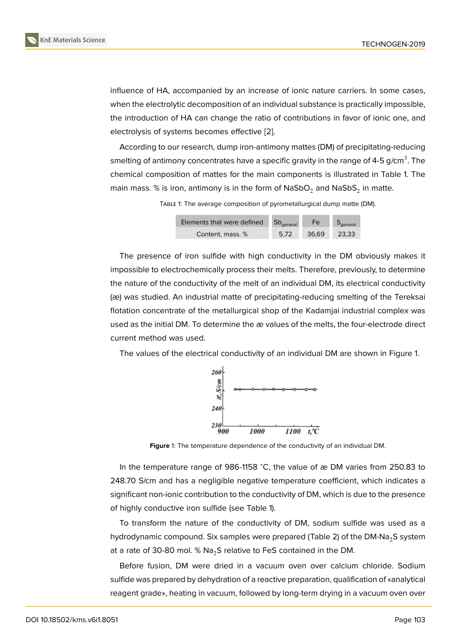influence of HA, accompanied by an increase of ionic nature carriers. In some cases, when the electrolytic decomposition of an individual substance is practically impossible, the introduction of HA can change the ratio of contributions in favor of ionic one, and electrolysis of systems becomes effective [2].

According to our research, dump iron-antimony mattes (DM) of precipitating-reducing smelting of antimony concentrates have a specific gravity in the range of 4-5 g/cm $^3$ . The chemical composition of mattes for the m[ain](#page-6-1) components is illustrated in Table 1. The main mass. % is iron, antimony is in the form of NaSbO $_2$  and NaSbS $_2$  in matte.

TABLE 1: The average composition of pyrometallurgical dump matte (DM).

| Elements that were defined | $Sb_{\text{general}}$ | Fe.   | $S_{\text{general}}$ |
|----------------------------|-----------------------|-------|----------------------|
| Content. mass. %           | 5.72                  | 36.69 | 23.33                |

The presence of iron sulfide with high conductivity in the DM obviously makes it impossible to electrochemically process their melts. Therefore, previously, to determine the nature of the conductivity of the melt of an individual DM, its electrical conductivity (æ) was studied. An industrial matte of precipitating-reducing smelting of the Tereksai flotation concentrate of the metallurgical shop of the Kadamjai industrial complex was used as the initial DM. To determine the æ values of the melts, the four-electrode direct current method was used.

The values of the electrical conductivity of an individual DM are shown in Figure 1.



**Figure** 1: The temperature dependence of the conductivity of an individual DM.

In the temperature range of 986-1158 <sup>∘</sup>C, the value of æ DM varies from 250.83 to 248.70 S/cm and has a negligible negative temperature coefficient, which indicates a significant non-ionic contribution to the conductivity of DM, which is due to the presence of highly conductive iron sulfide (see Table 1).

To transform the nature of the conductivity of DM, sodium sulfide was used as a hydrodynamic compound. Six samples were prepared (Table 2) of the DM-Na<sub>2</sub>S system at a rate of 30-80 mol. %  $Na<sub>2</sub>S$  relative to FeS contained in the DM.

Before fusion, DM were dried in a vacuum oven over calcium chloride. Sodium sulfide was prepared by dehydration of a reactive preparation, qualification of «analytical reagent grade», heating in vacuum, followed by long-term drying in a vacuum oven over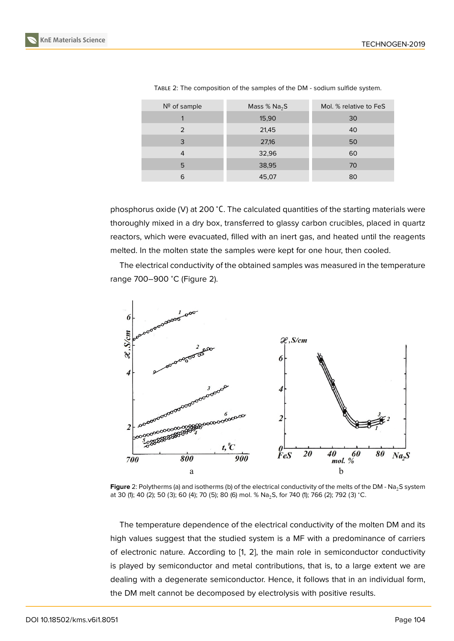| Nº of sample | Mass $%$ Na <sub>2</sub> S | Mol. % relative to FeS |
|--------------|----------------------------|------------------------|
|              | 15,90                      | 30                     |
| 2            | 21,45                      | 40                     |
| 3            | 27,16                      | 50                     |
| 4            | 32,96                      | 60                     |
| 5            | 38,95                      | 70                     |
| 6            | 45,07                      | 80                     |

TABLE 2: The composition of the samples of the DM - sodium sulfide system.

phosphorus oxide (V) at 200 <sup>∘</sup>С. The calculated quantities of the starting materials were thoroughly mixed in a dry box, transferred to glassy carbon crucibles, placed in quartz reactors, which were evacuated, filled with an inert gas, and heated until the reagents melted. In the molten state the samples were kept for one hour, then cooled.

The electrical conductivity of the obtained samples was measured in the temperature range 700–900 <sup>∘</sup>C (Figure 2).



Figure 2: Polytherms (a) and isotherms (b) of the electrical conductivity of the melts of the DM - Na<sub>2</sub>S system at 30 (1); 40 (2); 50 (3); 60 (4); 70 (5); 80 (6) mol. % Na<sub>2</sub>S, for 740 (1); 766 (2); 792 (3) °C.

The temperature dependence of the electrical conductivity of the molten DM and its high values suggest that the studied system is a MF with a predominance of carriers of electronic nature. According to [1, 2], the main role in semiconductor conductivity is played by semiconductor and metal contributions, that is, to a large extent we are dealing with a degenerate semiconductor. Hence, it follows that in an individual form, the DM melt cannot be decompose[d](#page-6-0) [by](#page-6-1) electrolysis with positive results.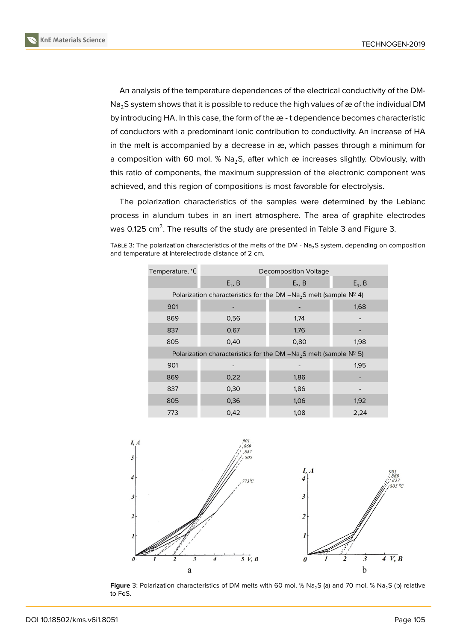An analysis of the temperature dependences of the electrical conductivity of the DM- $Na<sub>2</sub>S$  system shows that it is possible to reduce the high values of æ of the individual DM by introducing HA. In this case, the form of the æ - t dependence becomes characteristic of conductors with a predominant ionic contribution to conductivity. An increase of HA in the melt is accompanied by a decrease in æ, which passes through a minimum for a composition with 60 mol. %  $Na<sub>2</sub>$ S, after which æ increases slightly. Obviously, with this ratio of components, the maximum suppression of the electronic component was achieved, and this region of compositions is most favorable for electrolysis.

The polarization characteristics of the samples were determined by the Leblanc process in alundum tubes in an inert atmosphere. The area of graphite electrodes was 0.125 cm $^2$ . The results of the study are presented in Table 3 and Figure 3.

TABLE 3: The polarization characteristics of the melts of the DM - Na<sub>2</sub>S system, depending on composition and temperature at interelectrode distance of 2 cm.

| Temperature, °C                                                        | Decomposition Voltage |           |           |  |  |
|------------------------------------------------------------------------|-----------------------|-----------|-----------|--|--|
|                                                                        | $E_1$ , B             | $E_2$ , B | $E_3$ , B |  |  |
| Polarization characteristics for the DM $-Na_2S$ melt (sample $N^2$ 4) |                       |           |           |  |  |
| 901                                                                    |                       |           | 1,68      |  |  |
| 869                                                                    | 0,56                  | 1,74      |           |  |  |
| 837                                                                    | 0,67                  | 1,76      |           |  |  |
| 805                                                                    | 0,40                  | 0,80      | 1,98      |  |  |
| Polarization characteristics for the DM $-Na_2S$ melt (sample $N^2$ 5) |                       |           |           |  |  |
| 901                                                                    |                       |           | 1,95      |  |  |
| 869                                                                    | 0,22                  | 1,86      |           |  |  |
| 837                                                                    | 0,30                  | 1,86      |           |  |  |
| 805                                                                    | 0,36                  | 1,06      | 1,92      |  |  |
| 773                                                                    | 0,42                  | 1,08      | 2,24      |  |  |



**Figure** 3: Polarization characteristics of DM melts with 60 mol. % Na<sub>2</sub>S (a) and 70 mol. % Na<sub>2</sub>S (b) relative to FeS.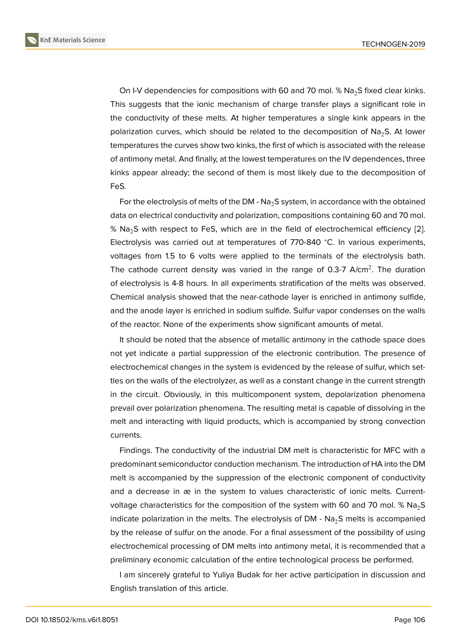On I-V dependencies for compositions with 60 and 70 mol.  $\%$  Na<sub>2</sub>S fixed clear kinks. This suggests that the ionic mechanism of charge transfer plays a significant role in the conductivity of these melts. At higher temperatures a single kink appears in the polarization curves, which should be related to the decomposition of  $Na<sub>2</sub>S$ . At lower temperatures the curves show two kinks, the first of which is associated with the release of antimony metal. And finally, at the lowest temperatures on the IV dependences, three kinks appear already; the second of them is most likely due to the decomposition of FeS.

For the electrolysis of melts of the DM -  $Na<sub>2</sub>S$  system, in accordance with the obtained data on electrical conductivity and polarization, compositions containing 60 and 70 mol. %  $Na<sub>2</sub>S$  with respect to FeS, which are in the field of electrochemical efficiency [2]. Electrolysis was carried out at temperatures of 770-840 <sup>∘</sup>C. In various experiments, voltages from 1.5 to 6 volts were applied to the terminals of the electrolysis bath. The cathode current density was varied in the range of 0.3-7 A/cm<sup>2</sup>. The durati[on](#page-6-1) of electrolysis is 4-8 hours. In all experiments stratification of the melts was observed. Chemical analysis showed that the near-cathode layer is enriched in antimony sulfide, and the anode layer is enriched in sodium sulfide. Sulfur vapor condenses on the walls of the reactor. None of the experiments show significant amounts of metal.

It should be noted that the absence of metallic antimony in the cathode space does not yet indicate a partial suppression of the electronic contribution. The presence of electrochemical changes in the system is evidenced by the release of sulfur, which settles on the walls of the electrolyzer, as well as a constant change in the current strength in the circuit. Obviously, in this multicomponent system, depolarization phenomena prevail over polarization phenomena. The resulting metal is capable of dissolving in the melt and interacting with liquid products, which is accompanied by strong convection currents.

Findings. The conductivity of the industrial DM melt is characteristic for MFC with a predominant semiconductor conduction mechanism. The introduction of HA into the DM melt is accompanied by the suppression of the electronic component of conductivity and a decrease in æ in the system to values characteristic of ionic melts. Currentvoltage characteristics for the composition of the system with 60 and 70 mol. %  $Na<sub>2</sub>S$ indicate polarization in the melts. The electrolysis of DM -  $Na<sub>2</sub>S$  melts is accompanied by the release of sulfur on the anode. For a final assessment of the possibility of using electrochemical processing of DM melts into antimony metal, it is recommended that a preliminary economic calculation of the entire technological process be performed.

I am sincerely grateful to Yuliya Budak for her active participation in discussion and English translation of this article.